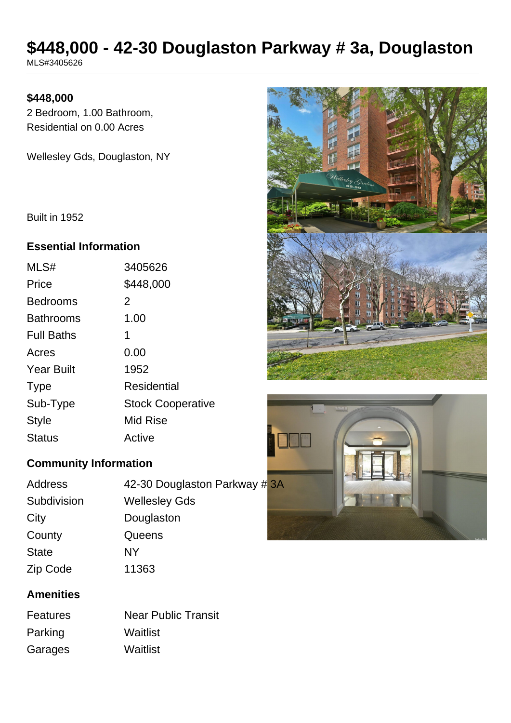# **\$448,000 - 42-30 Douglaston Parkway # 3a, Douglaston**

MLS#3405626

## **\$448,000**

2 Bedroom, 1.00 Bathroom, Residential on 0.00 Acres

Wellesley Gds, Douglaston, NY

Built in 1952

#### **Essential Information**

| MLS#              | 3405626                  |
|-------------------|--------------------------|
| Price             | \$448,000                |
| <b>Bedrooms</b>   | 2                        |
| <b>Bathrooms</b>  | 1.00                     |
| <b>Full Baths</b> | 1                        |
| Acres             | 0.00                     |
| <b>Year Built</b> | 1952                     |
| <b>Type</b>       | Residential              |
| Sub-Type          | <b>Stock Cooperative</b> |
| <b>Style</b>      | Mid Rise                 |
| <b>Status</b>     | Active                   |

# **Community Information**

| Address      | 42-30 Douglaston Parkway #3A |  |
|--------------|------------------------------|--|
| Subdivision  | <b>Wellesley Gds</b>         |  |
| City         | Douglaston                   |  |
| County       | Queens                       |  |
| <b>State</b> | NY                           |  |
| Zip Code     | 11363                        |  |

# **Amenities**

| <b>Features</b> | <b>Near Public Transit</b> |
|-----------------|----------------------------|
| Parking         | Waitlist                   |
| Garages         | Waitlist                   |